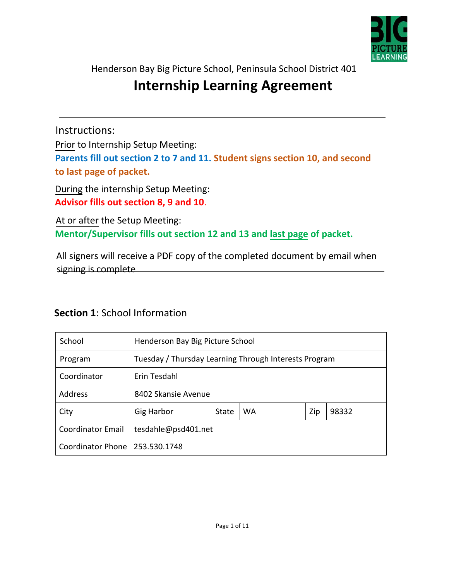

Henderson Bay Big Picture School, Peninsula School District 401

# **Internship Learning Agreement**

Instructions:

Prior to Internship Setup Meeting:

**Parents fill out section 2 to 7 and 11. Student signs section 10, and second to last page of packet.** 

During the internship Setup Meeting: **Advisor fills out section 8, 9 and 10**.

At or after the Setup Meeting: **Mentor/Supervisor fills out section 12 and 13 and last page of packet.**

All signers will receive a PDF copy of the completed document by email when signing is complete

| School                   | Henderson Bay Big Picture School |                                                       |    |     |       |
|--------------------------|----------------------------------|-------------------------------------------------------|----|-----|-------|
| Program                  |                                  | Tuesday / Thursday Learning Through Interests Program |    |     |       |
| Coordinator              | Erin Tesdahl                     |                                                       |    |     |       |
| Address                  | 8402 Skansie Avenue              |                                                       |    |     |       |
| City                     | <b>Gig Harbor</b>                | State                                                 | WA | Zip | 98332 |
| <b>Coordinator Email</b> | tesdahle@psd401.net              |                                                       |    |     |       |
| Coordinator Phone        | 253.530.1748                     |                                                       |    |     |       |

#### **Section 1**: School Information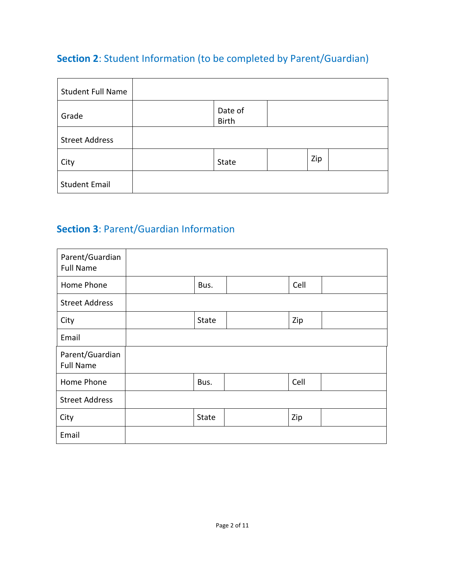## **Section 2**: Student Information (to be completed by Parent/Guardian)

| <b>Student Full Name</b> |                         |     |  |
|--------------------------|-------------------------|-----|--|
| Grade                    | Date of<br><b>Birth</b> |     |  |
| <b>Street Address</b>    |                         |     |  |
| City                     | State                   | Zip |  |
| <b>Student Email</b>     |                         |     |  |

# **Section 3**: Parent/Guardian Information

| Parent/Guardian<br><b>Full Name</b> |       |      |  |
|-------------------------------------|-------|------|--|
| Home Phone                          | Bus.  | Cell |  |
| <b>Street Address</b>               |       |      |  |
| City                                | State | Zip  |  |
| Email                               |       |      |  |
| Parent/Guardian<br><b>Full Name</b> |       |      |  |
| Home Phone                          | Bus.  | Cell |  |
| <b>Street Address</b>               |       |      |  |
| City                                | State | Zip  |  |
| Email                               |       |      |  |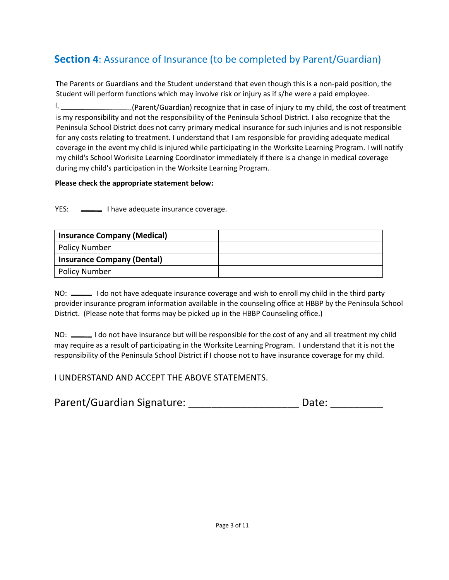# **Section 4**: Assurance of Insurance (to be completed by Parent/Guardian)

The Parents or Guardians and the Student understand that even though this is a non-paid position, the Student will perform functions which may involve risk or injury as if s/he were a paid employee.

 $\mathsf{l}$ , (Parent/Guardian) recognize that in case of injury to my child, the cost of treatment is my responsibility and not the responsibility of the Peninsula School District. I also recognize that the Peninsula School District does not carry primary medical insurance for such injuries and is not responsible for any costs relating to treatment. I understand that I am responsible for providing adequate medical coverage in the event my child is injured while participating in the Worksite Learning Program. I will notify my child's School Worksite Learning Coordinator immediately if there is a change in medical coverage during my child's participation in the Worksite Learning Program.

#### **Please check the appropriate statement below:**

YES:  $\frac{1}{2}$  I have adequate insurance coverage.

| <b>Insurance Company (Medical)</b> |  |
|------------------------------------|--|
| <b>Policy Number</b>               |  |
| <b>Insurance Company (Dental)</b>  |  |
| <b>Policy Number</b>               |  |

NO:  $\_\_\_\_\$ I do not have adequate insurance coverage and wish to enroll my child in the third party provider insurance program information available in the counseling office at HBBP by the Peninsula School District. (Please note that forms may be picked up in the HBBP Counseling office.)

NO: \_\_\_\_\_\_\_ I do not have insurance but will be responsible for the cost of any and all treatment my child may require as a result of participating in the Worksite Learning Program. I understand that it is not the responsibility of the Peninsula School District if I choose not to have insurance coverage for my child.

#### I UNDERSTAND AND ACCEPT THE ABOVE STATEMENTS.

| Parent/Guardian Signature: | Date: |  |
|----------------------------|-------|--|
|                            |       |  |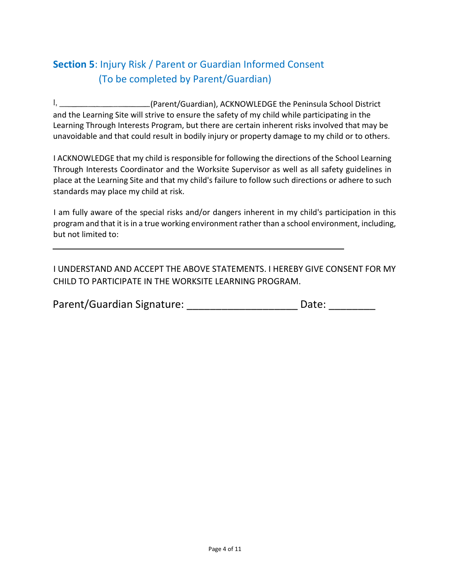## **Section 5**: Injury Risk / Parent or Guardian Informed Consent (To be completed by Parent/Guardian)

 $\mathbf{I}_{\mathbf{z}}$ (Parent/Guardian), ACKNOWLEDGE the Peninsula School District and the Learning Site will strive to ensure the safety of my child while participating in the Learning Through Interests Program, but there are certain inherent risks involved that may be unavoidable and that could result in bodily injury or property damage to my child or to others.

I ACKNOWLEDGE that my child is responsible for following the directions of the School Learning Through Interests Coordinator and the Worksite Supervisor as well as all safety guidelines in place at the Learning Site and that my child's failure to follow such directions or adhere to such standards may place my child at risk.

I am fully aware of the special risks and/or dangers inherent in my child's participation in this program and that it is in a true working environment rather than a school environment, including, but not limited to:

I UNDERSTAND AND ACCEPT THE ABOVE STATEMENTS. I HEREBY GIVE CONSENT FOR MY CHILD TO PARTICIPATE IN THE WORKSITE LEARNING PROGRAM.

| Parent/Guardian Signature: | Date: |  |
|----------------------------|-------|--|
|                            |       |  |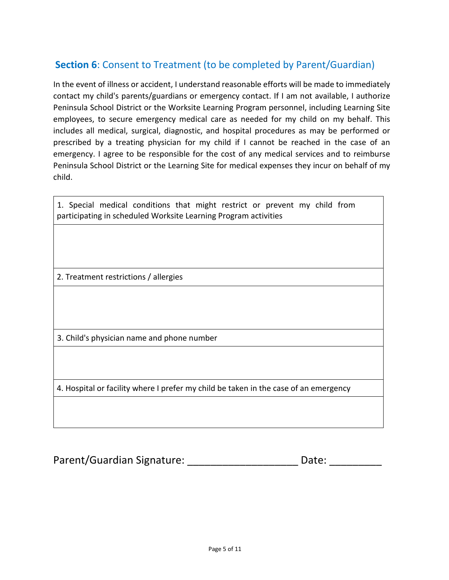#### **Section 6**: Consent to Treatment (to be completed by Parent/Guardian)

In the event of illness or accident, I understand reasonable efforts will be made to immediately contact my child's parents/guardians or emergency contact. If I am not available, I authorize Peninsula School District or the Worksite Learning Program personnel, including Learning Site employees, to secure emergency medical care as needed for my child on my behalf. This includes all medical, surgical, diagnostic, and hospital procedures as may be performed or prescribed by a treating physician for my child if I cannot be reached in the case of an emergency. I agree to be responsible for the cost of any medical services and to reimburse Peninsula School District or the Learning Site for medical expenses they incur on behalf of my child.

1. Special medical conditions that might restrict or prevent my child from participating in scheduled Worksite Learning Program activities

2. Treatment restrictions / allergies

3. Child's physician name and phone number

4. Hospital or facility where I prefer my child be taken in the case of an emergency

| Parent/Guardian Signature: | Date: |  |
|----------------------------|-------|--|
|                            |       |  |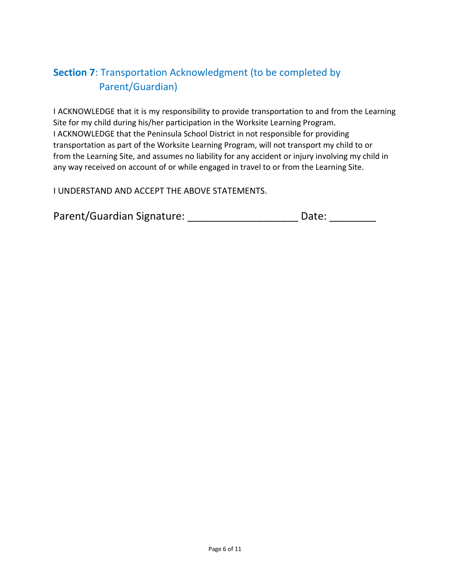## **Section 7**: Transportation Acknowledgment (to be completed by Parent/Guardian)

I ACKNOWLEDGE that it is my responsibility to provide transportation to and from the Learning Site for my child during his/her participation in the Worksite Learning Program. I ACKNOWLEDGE that the Peninsula School District in not responsible for providing transportation as part of the Worksite Learning Program, will not transport my child to or from the Learning Site, and assumes no liability for any accident or injury involving my child in any way received on account of or while engaged in travel to or from the Learning Site.

I UNDERSTAND AND ACCEPT THE ABOVE STATEMENTS.

| Parent/Guardian Signature: | Date: |
|----------------------------|-------|
|                            |       |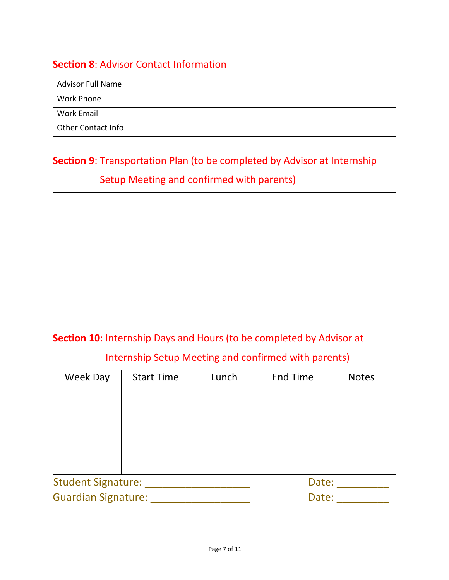#### **Section 8**: Advisor Contact Information

| <b>Advisor Full Name</b> |  |
|--------------------------|--|
| <b>Work Phone</b>        |  |
| <b>Work Email</b>        |  |
| Other Contact Info       |  |

# **Section 9**: Transportation Plan (to be completed by Advisor at Internship Setup Meeting and confirmed with parents)

#### **Section 10**: Internship Days and Hours (to be completed by Advisor at

#### Internship Setup Meeting and confirmed with parents)

| Week Day                   | <b>Start Time</b> | Lunch | <b>End Time</b> | <b>Notes</b> |
|----------------------------|-------------------|-------|-----------------|--------------|
|                            |                   |       |                 |              |
|                            |                   |       |                 |              |
|                            |                   |       |                 |              |
|                            |                   |       |                 |              |
|                            |                   |       |                 |              |
|                            |                   |       |                 |              |
|                            |                   |       |                 |              |
| Student Signature:         |                   |       | Date:           |              |
| <b>Guardian Signature:</b> |                   |       | Date:           |              |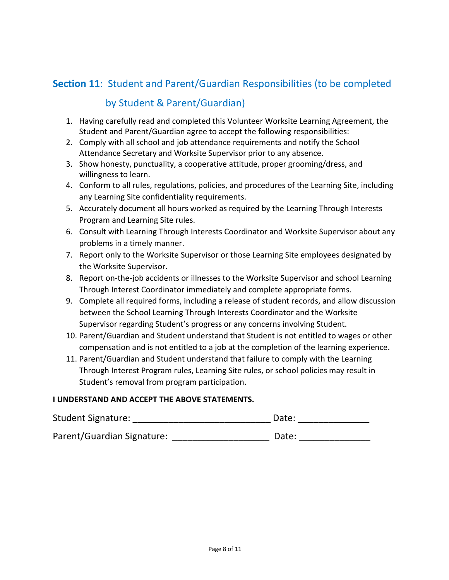#### **Section 11**: Student and Parent/Guardian Responsibilities (to be completed

#### by Student & Parent/Guardian)

- 1. Having carefully read and completed this Volunteer Worksite Learning Agreement, the Student and Parent/Guardian agree to accept the following responsibilities:
- 2. Comply with all school and job attendance requirements and notify the School Attendance Secretary and Worksite Supervisor prior to any absence.
- 3. Show honesty, punctuality, a cooperative attitude, proper grooming/dress, and willingness to learn.
- 4. Conform to all rules, regulations, policies, and procedures of the Learning Site, including any Learning Site confidentiality requirements.
- 5. Accurately document all hours worked as required by the Learning Through Interests Program and Learning Site rules.
- 6. Consult with Learning Through Interests Coordinator and Worksite Supervisor about any problems in a timely manner.
- 7. Report only to the Worksite Supervisor or those Learning Site employees designated by the Worksite Supervisor.
- 8. Report on-the-job accidents or illnesses to the Worksite Supervisor and school Learning Through Interest Coordinator immediately and complete appropriate forms.
- 9. Complete all required forms, including a release of student records, and allow discussion between the School Learning Through Interests Coordinator and the Worksite Supervisor regarding Student's progress or any concerns involving Student.
- 10. Parent/Guardian and Student understand that Student is not entitled to wages or other compensation and is not entitled to a job at the completion of the learning experience.
- 11. Parent/Guardian and Student understand that failure to comply with the Learning Through Interest Program rules, Learning Site rules, or school policies may result in Student's removal from program participation.

#### **I UNDERSTAND AND ACCEPT THE ABOVE STATEMENTS.**

| <b>Student Signature:</b>  | Date: |
|----------------------------|-------|
| Parent/Guardian Signature: | Date: |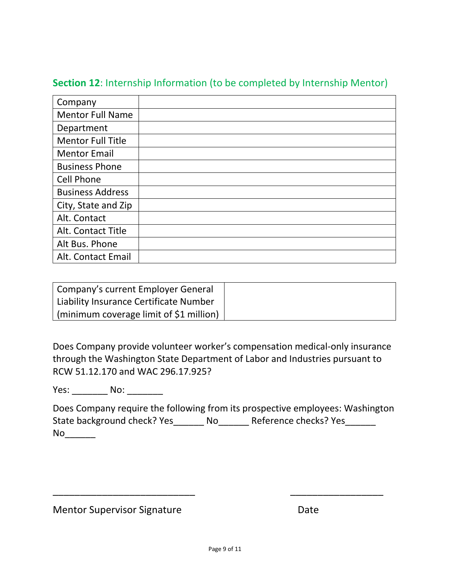| Company                  |  |
|--------------------------|--|
| <b>Mentor Full Name</b>  |  |
| Department               |  |
| <b>Mentor Full Title</b> |  |
| <b>Mentor Email</b>      |  |
| <b>Business Phone</b>    |  |
| <b>Cell Phone</b>        |  |
| <b>Business Address</b>  |  |
| City, State and Zip      |  |
| Alt. Contact             |  |
| Alt. Contact Title       |  |
| Alt Bus. Phone           |  |
| Alt. Contact Email       |  |

#### **Section 12**: Internship Information (to be completed by Internship Mentor)

| Company's current Employer General             |  |
|------------------------------------------------|--|
| Liability Insurance Certificate Number         |  |
| $\mid$ (minimum coverage limit of \$1 million) |  |

Does Company provide volunteer worker's compensation medical-only insurance through the Washington State Department of Labor and Industries pursuant to RCW 51.12.170 and WAC 296.17.925?

Yes: No: No:

Does Company require the following from its prospective employees: Washington State background check? Yes\_\_\_\_\_\_\_ No\_\_\_\_\_\_\_ Reference checks? Yes\_\_\_\_\_\_\_  $No$ 

Mentor Supervisor Signature **Date** Date

\_\_\_\_\_\_\_\_\_\_\_\_\_\_\_\_\_\_\_\_\_\_\_\_\_\_ \_\_\_\_\_\_\_\_\_\_\_\_\_\_\_\_\_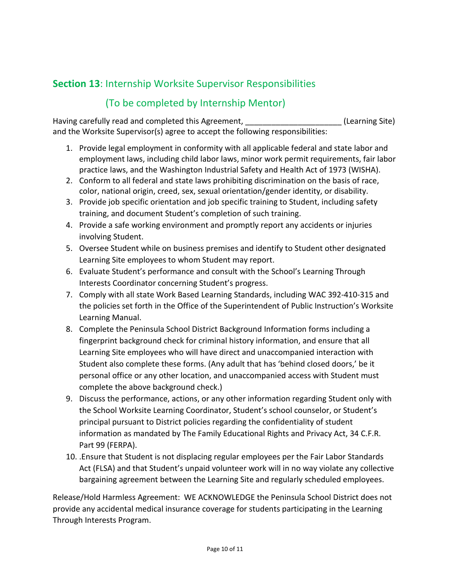## **Section 13**: Internship Worksite Supervisor Responsibilities

#### (To be completed by Internship Mentor)

Having carefully read and completed this Agreement, Theorem and Theorem (Learning Site) and the Worksite Supervisor(s) agree to accept the following responsibilities:

- 1. Provide legal employment in conformity with all applicable federal and state labor and employment laws, including child labor laws, minor work permit requirements, fair labor practice laws, and the Washington Industrial Safety and Health Act of 1973 (WISHA).
- 2. Conform to all federal and state laws prohibiting discrimination on the basis of race, color, national origin, creed, sex, sexual orientation/gender identity, or disability.
- 3. Provide job specific orientation and job specific training to Student, including safety training, and document Student's completion of such training.
- 4. Provide a safe working environment and promptly report any accidents or injuries involving Student.
- 5. Oversee Student while on business premises and identify to Student other designated Learning Site employees to whom Student may report.
- 6. Evaluate Student's performance and consult with the School's Learning Through Interests Coordinator concerning Student's progress.
- 7. Comply with all state Work Based Learning Standards, including WAC 392-410-315 and the policies set forth in the Office of the Superintendent of Public Instruction's Worksite Learning Manual.
- 8. Complete the Peninsula School District Background Information forms including a fingerprint background check for criminal history information, and ensure that all Learning Site employees who will have direct and unaccompanied interaction with Student also complete these forms. (Any adult that has 'behind closed doors,' be it personal office or any other location, and unaccompanied access with Student must complete the above background check.)
- 9. Discuss the performance, actions, or any other information regarding Student only with the School Worksite Learning Coordinator, Student's school counselor, or Student's principal pursuant to District policies regarding the confidentiality of student information as mandated by The Family Educational Rights and Privacy Act, 34 C.F.R. Part 99 (FERPA).
- 10. .Ensure that Student is not displacing regular employees per the Fair Labor Standards Act (FLSA) and that Student's unpaid volunteer work will in no way violate any collective bargaining agreement between the Learning Site and regularly scheduled employees.

Release/Hold Harmless Agreement: WE ACKNOWLEDGE the Peninsula School District does not provide any accidental medical insurance coverage for students participating in the Learning Through Interests Program.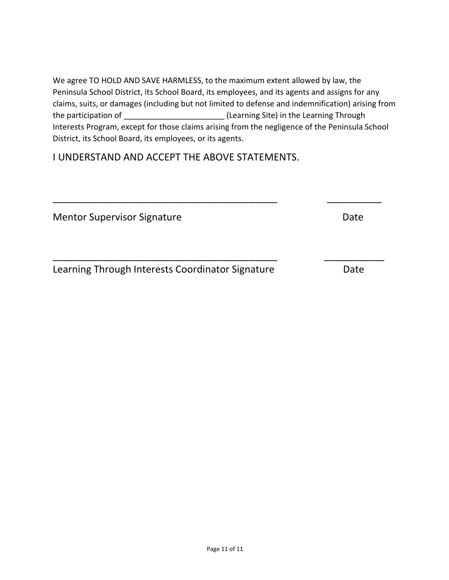We agree TO HOLD AND SAVE HARMLESS, to the maximum extent allowed by law, the Peninsula School District, its School Board, its employees, and its agents and assigns for any claims, suits, or damages (including but not limited to defense and indemnification) arising from the participation of \_\_\_\_\_\_\_\_\_\_\_\_\_\_\_\_\_\_\_\_\_\_\_ (Learning Site) in the Learning Through Interests Program, except for those claims arising from the negligence of the Peninsula School District, its School Board, its employees, or its agents.

\_\_\_\_\_\_\_\_\_\_\_\_\_\_\_\_\_\_\_\_\_\_\_\_\_\_\_\_\_\_\_\_\_\_\_\_\_\_\_\_\_ \_\_\_\_\_\_\_\_\_\_

\_\_\_\_\_\_\_\_\_\_\_\_\_\_\_\_\_\_\_\_\_\_\_\_\_\_\_\_\_\_\_\_\_\_\_\_\_\_\_\_\_ \_\_\_\_\_\_\_\_\_\_\_

I UNDERSTAND AND ACCEPT THE ABOVE STATEMENTS.

Mentor Supervisor Signature **Date** Date

Learning Through Interests Coordinator Signature **Date**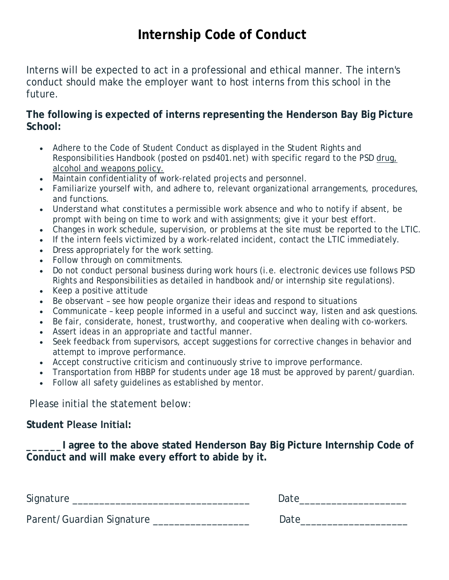# **Internship Code of Conduct**

Interns will be expected to act in a professional and ethical manner. The intern's conduct should make the employer *want* to host interns from this school in the future.

#### **The following is expected of interns representing the Henderson Bay Big Picture School:**

- Adhere to the Code of Student Conduct as displayed in the Student Rights and Responsibilities Handbook (posted on psd401.net) with specific regard to the PSD drug, alcohol and weapons policy.
- Maintain confidentiality of work-related projects and personnel.
- Familiarize yourself with, and adhere to, relevant organizational arrangements, procedures, and functions.
- Understand what constitutes a permissible work absence and who to notify if absent, be prompt with being on time to work and with assignments; give it your best effort.
- Changes in work schedule, supervision, or problems at the site must be reported to the LTIC.
- If the intern feels victimized by a work-related incident, contact the LTIC immediately.
- Dress appropriately for the work setting.
- Follow through on commitments.
- Do not conduct personal business during work hours (i.e. electronic devices use follows PSD Rights and Responsibilities as detailed in handbook and/or internship site regulations).
- Keep a positive attitude
- Be observant see how people organize their ideas and respond to situations
- Communicate keep people informed in a useful and succinct way, listen and ask questions.
- Be fair, considerate, honest, trustworthy, and cooperative when dealing with co-workers.
- Assert ideas in an appropriate and tactful manner.
- Seek feedback from supervisors, accept suggestions for corrective changes in behavior and attempt to improve performance.
- Accept constructive criticism and continuously strive to improve performance.
- Transportation from HBBP for students under age 18 must be approved by parent/guardian.
- Follow all safety guidelines as established by mentor.

Please initial the statement below:

#### **Student Please Initial:**

**\_\_\_\_\_\_I agree to the above stated Henderson Bay Big Picture Internship Code of Conduct and will make every effort to abide by it.**

Signature \_\_\_\_\_\_\_\_\_\_\_\_\_\_\_\_\_\_\_\_\_\_\_\_\_\_\_\_\_\_\_\_\_ Date\_\_\_\_\_\_\_\_\_\_\_\_\_\_\_\_\_\_\_\_

Parent/Guardian Signature \_\_\_\_\_\_\_\_\_\_\_\_\_\_\_\_\_\_\_\_\_\_\_ Date\_\_\_\_\_\_\_\_\_\_\_\_\_\_\_\_\_\_\_\_\_\_\_\_\_\_